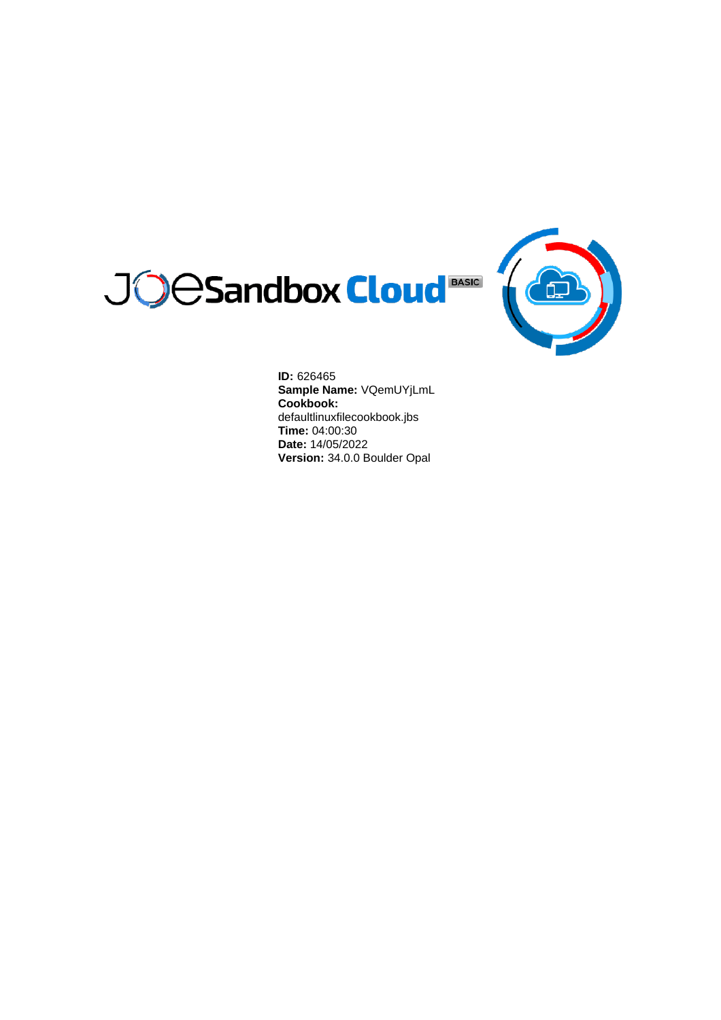



**ID:** 626465 **Sample Name:** VQemUYjLmL **Cookbook:** defaultlinuxfilecookbook.jbs **Time:** 04:00:30 **Date:** 14/05/2022 **Version:** 34.0.0 Boulder Opal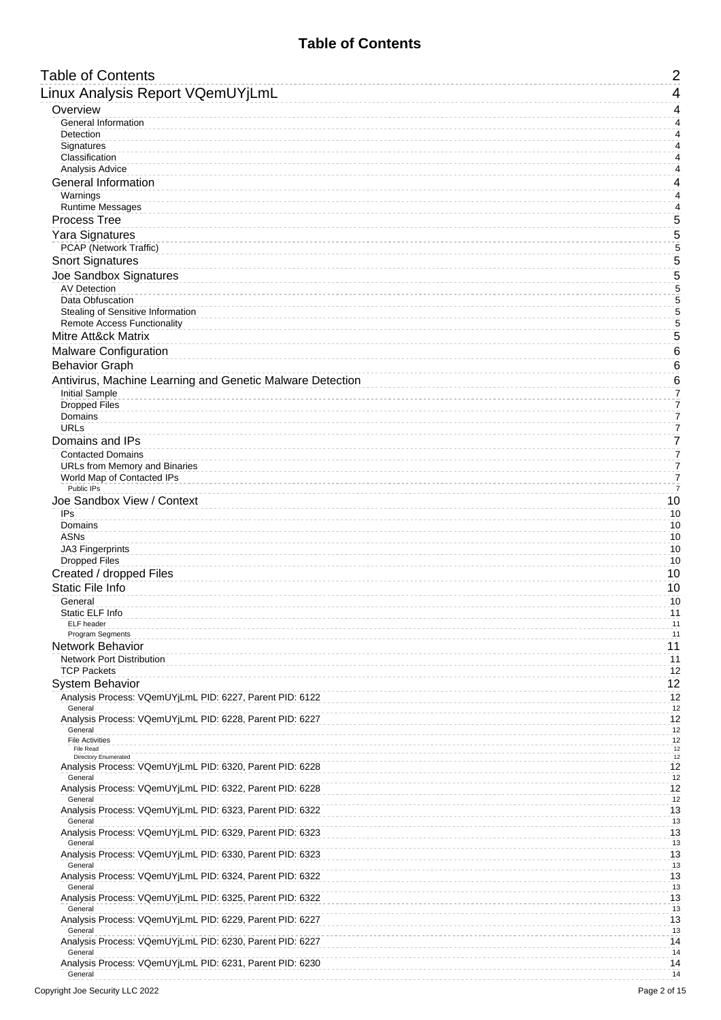# **Table of Contents**

<span id="page-1-0"></span>

| <b>Table of Contents</b>                                             | $\overline{2}$                   |
|----------------------------------------------------------------------|----------------------------------|
| Linux Analysis Report VQemUYjLmL                                     | 4                                |
| Overview                                                             | 4                                |
| General Information<br>Detection                                     | $\overline{4}$<br>4              |
| Signatures                                                           | 4                                |
| Classification                                                       | 4                                |
| Analysis Advice<br><b>General Information</b>                        | 4<br>4                           |
| Warnings                                                             | 4                                |
| <b>Runtime Messages</b>                                              | 4                                |
| <b>Process Tree</b><br><b>Yara Signatures</b>                        | 5<br>5                           |
| PCAP (Network Traffic)                                               | 5                                |
| <b>Snort Signatures</b>                                              | 5                                |
| Joe Sandbox Signatures                                               | 5                                |
| <b>AV Detection</b><br>Data Obfuscation                              | 5<br>5                           |
| Stealing of Sensitive Information                                    | 5                                |
| <b>Remote Access Functionality</b><br><b>Mitre Att&amp;ck Matrix</b> | $\frac{5}{5}$                    |
| Malware Configuration                                                | 6                                |
| <b>Behavior Graph</b>                                                | 6                                |
| Antivirus, Machine Learning and Genetic Malware Detection            | 6                                |
| <b>Initial Sample</b>                                                | 7                                |
| <b>Dropped Files</b><br>Domains                                      | 7<br>$\overline{7}$              |
| <b>URLs</b>                                                          | $\overline{7}$                   |
| Domains and IPs                                                      | $\overline{7}$                   |
| <b>Contacted Domains</b><br>URLs from Memory and Binaries            | $\overline{7}$<br>$\overline{7}$ |
| World Map of Contacted IPs                                           | $\overline{7}$                   |
| Public IPs<br>Joe Sandbox View / Context                             | $\overline{7}$<br>10             |
| IPs                                                                  | 10                               |
| Domains<br><b>ASNs</b>                                               | 10<br>10                         |
| <b>JA3 Fingerprints</b>                                              | 10                               |
| <b>Dropped Files</b>                                                 | 10                               |
| Created / dropped Files<br><b>Static File Info</b>                   | 10<br>10                         |
| General                                                              | 10                               |
| Static ELF Info<br>ELF header                                        | 11<br>11                         |
| Program Segments                                                     | 11                               |
| Network Behavior                                                     | 11                               |
| <b>Network Port Distribution</b><br><b>TCP Packets</b>               | 11<br>12                         |
| <b>System Behavior</b>                                               | 12                               |
| Analysis Process: VQemUYjLmL PID: 6227, Parent PID: 6122<br>General  | 12<br>12                         |
| Analysis Process: VQemUYjLmL PID: 6228, Parent PID: 6227             | 12                               |
| General<br><b>File Activities</b>                                    | 12<br>12                         |
| File Read<br><b>Directory Enumerated</b>                             | $12\,$<br>$12\,$                 |
| Analysis Process: VQemUYjLmL PID: 6320, Parent PID: 6228             | 12                               |
| General<br>Analysis Process: VQemUYjLmL PID: 6322, Parent PID: 6228  | 12<br>12                         |
| General<br>Analysis Process: VQemUYjLmL PID: 6323, Parent PID: 6322  | 12<br>13                         |
| General<br>Analysis Process: VQemUYjLmL PID: 6329, Parent PID: 6323  | 13<br>13                         |
| General<br>Analysis Process: VQemUYjLmL PID: 6330, Parent PID: 6323  | 13<br>13                         |
| General                                                              | 13                               |
| Analysis Process: VQemUYjLmL PID: 6324, Parent PID: 6322<br>General  | 13<br>13                         |
| Analysis Process: VQemUYjLmL PID: 6325, Parent PID: 6322<br>General  | 13<br>13                         |
| Analysis Process: VQemUYjLmL PID: 6229, Parent PID: 6227<br>General  | 13<br>13                         |
| Analysis Process: VQemUYjLmL PID: 6230, Parent PID: 6227<br>General  | 14<br>14                         |
| Analysis Process: VQemUYjLmL PID: 6231, Parent PID: 6230<br>General  | 14<br>14                         |
|                                                                      |                                  |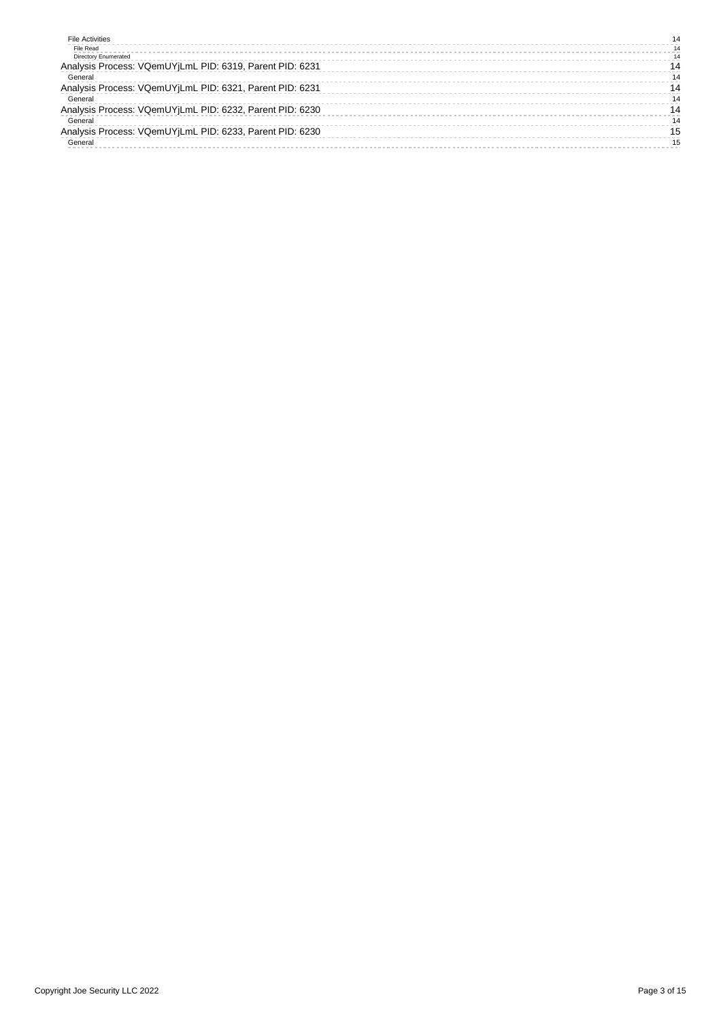| <b>File Activities</b>                                   | 14 |
|----------------------------------------------------------|----|
| File Read                                                | 14 |
| <b>Directory Enumerated</b>                              | 14 |
| Analysis Process: VQemUYjLmL PID: 6319, Parent PID: 6231 | 14 |
| General                                                  | 14 |
| Analysis Process: VQemUYjLmL PID: 6321, Parent PID: 6231 | 14 |
| General                                                  |    |
| Analysis Process: VQemUYjLmL PID: 6232, Parent PID: 6230 | 14 |
| General                                                  | 14 |
| Analysis Process: VQemUYjLmL PID: 6233, Parent PID: 6230 | 15 |
| General                                                  | 15 |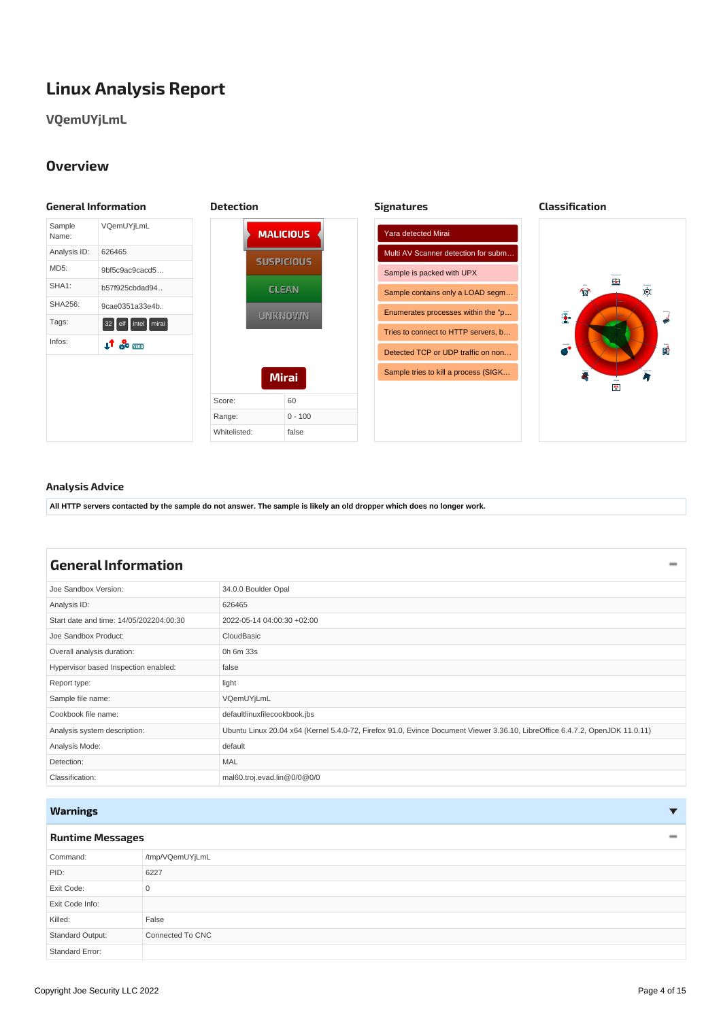# <span id="page-3-0"></span>**Linux Analysis Report**

# **VQemUYjLmL**

# <span id="page-3-5"></span><span id="page-3-4"></span><span id="page-3-3"></span><span id="page-3-1"></span>**Overview**

<span id="page-3-2"></span>

### <span id="page-3-6"></span>**Analysis Advice**

All HTTP servers contacted by the sample do not answer. The sample is likely an old dropper which does no longer work.

<span id="page-3-10"></span><span id="page-3-7"></span>

| <b>General Information</b>              |                                                                                                                              |
|-----------------------------------------|------------------------------------------------------------------------------------------------------------------------------|
| Joe Sandbox Version:                    | 34.0.0 Boulder Opal                                                                                                          |
| Analysis ID:                            | 626465                                                                                                                       |
| Start date and time: 14/05/202204:00:30 | 2022-05-14 04:00:30 +02:00                                                                                                   |
| Joe Sandbox Product:                    | CloudBasic                                                                                                                   |
| Overall analysis duration:              | 0h 6m 33s                                                                                                                    |
| Hypervisor based Inspection enabled:    | false                                                                                                                        |
| Report type:                            | light                                                                                                                        |
| Sample file name:                       | VQemUYjLmL                                                                                                                   |
| Cookbook file name:                     | defaultlinuxfilecookbook.jbs                                                                                                 |
| Analysis system description:            | Ubuntu Linux 20.04 x64 (Kernel 5.4.0-72, Firefox 91.0, Evince Document Viewer 3.36.10, LibreOffice 6.4.7.2, OpenJDK 11.0.11) |
| Analysis Mode:                          | default                                                                                                                      |
| Detection:                              | <b>MAL</b>                                                                                                                   |
| Classification:                         | mal60.troj.evad.lin@0/0@0/0                                                                                                  |

# <span id="page-3-8"></span>**Warnings**

### <span id="page-3-9"></span>**Runtime [Messages](#page-3-11)**

<span id="page-3-11"></span>

| Command:         | /tmp/VQemUYjLmL  |
|------------------|------------------|
| PID:             | 6227             |
| Exit Code:       | $\mathbf{0}$     |
| Exit Code Info:  |                  |
| Killed:          | False            |
| Standard Output: | Connected To CNC |
| Standard Error:  |                  |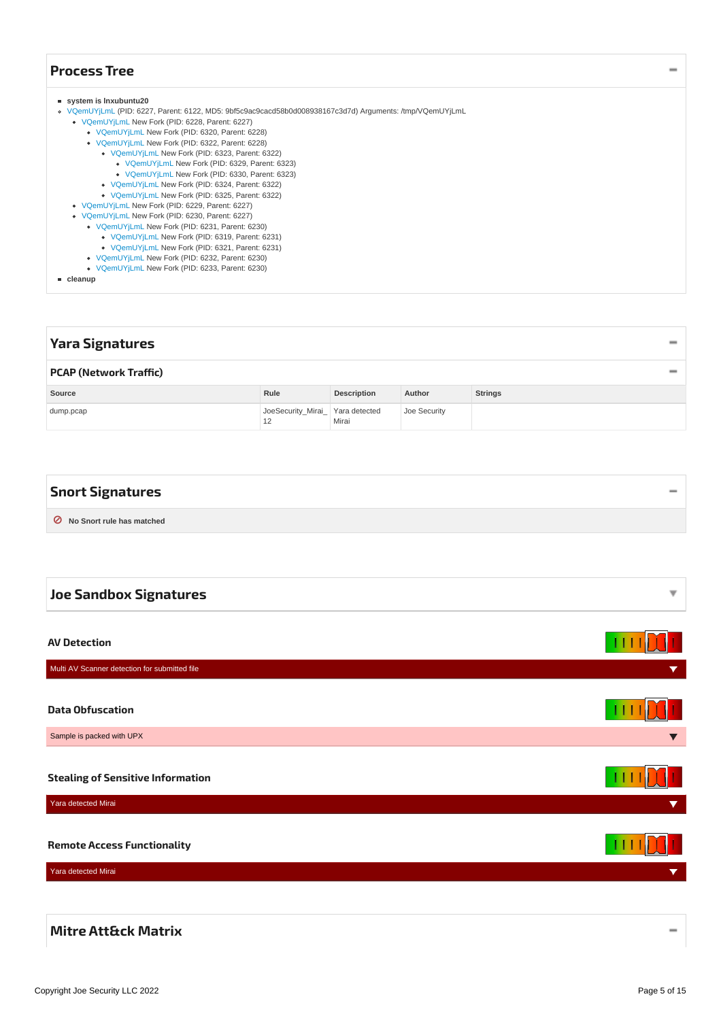# <span id="page-4-0"></span>**[Process](#page-4-10) Tree**

#### <span id="page-4-10"></span>**system is lnxubuntu20**

- [VQemUYjLmL](#page-11-13) (PID: 6227, Parent: 6122, MD5: 9bf5c9ac9cacd58b0d008938167c3d7d) Arguments: /tmp/VQemUYjLmL
	- [VQemUYjLmL](#page-11-14) New Fork (PID: 6228, Parent: 6227)
		- [VQemUYjLmL](#page-11-15) New Fork (PID: 6320, Parent: 6228)
		- [VQemUYjLmL](#page-11-16) New Fork (PID: 6322, Parent: 6228)
			- [VQemUYjLmL](#page-12-12) New Fork (PID: 6323, Parent: 6322)
			- [VQemUYjLmL](#page-12-13) New Fork (PID: 6329, Parent: 6323)
			- [VQemUYjLmL](#page-12-14) New Fork (PID: 6330, Parent: 6323)
			- [VQemUYjLmL](#page-12-15) New Fork (PID: 6324, Parent: 6322)
			- [VQemUYjLmL](#page-12-16) New Fork (PID: 6325, Parent: 6322)
	- [VQemUYjLmL](#page-12-17) New Fork (PID: 6229, Parent: 6227)
	- [VQemUYjLmL](#page-13-13) New Fork (PID: 6230, Parent: 6227)
		- [VQemUYjLmL](#page-13-14) New Fork (PID: 6231, Parent: 6230)
			- [VQemUYjLmL](#page-13-15) New Fork (PID: 6319, Parent: 6231)
			- [VQemUYjLmL](#page-13-16) New Fork (PID: 6321, Parent: 6231)
		- [VQemUYjLmL](#page-13-17) New Fork (PID: 6232, Parent: 6230)
		- [VQemUYjLmL](#page-14-2) New Fork (PID: 6233, Parent: 6230)

**cleanup**

<span id="page-4-12"></span><span id="page-4-11"></span><span id="page-4-2"></span><span id="page-4-1"></span>

| <b>Yara Signatures</b>        |                                        |                    |              |                |          |
|-------------------------------|----------------------------------------|--------------------|--------------|----------------|----------|
| <b>PCAP (Network Traffic)</b> |                                        |                    |              |                | $\equiv$ |
| Source                        | Rule                                   | <b>Description</b> | Author       | <b>Strings</b> |          |
| dump.pcap                     | JoeSecurity_Mirai_ Yara detected<br>12 | Mirai              | Joe Security |                |          |

<span id="page-4-13"></span><span id="page-4-3"></span>

| <b>Snort Signatures</b>     |  |
|-----------------------------|--|
| O No Snort rule has matched |  |

<span id="page-4-6"></span><span id="page-4-5"></span><span id="page-4-4"></span>

| <b>Joe Sandbox Signatures</b>                 | ▼                    |
|-----------------------------------------------|----------------------|
|                                               |                      |
| <b>AV Detection</b>                           |                      |
| Multi AV Scanner detection for submitted file | $\blacktriangledown$ |
|                                               |                      |
| <b>Data Obfuscation</b>                       |                      |
| Sample is packed with UPX                     |                      |
|                                               |                      |
| <b>Stealing of Sensitive Information</b>      |                      |
| Yara detected Mirai                           | $\blacktriangledown$ |
|                                               |                      |
| <b>Remote Access Functionality</b>            |                      |
| Yara detected Mirai                           | ▼                    |
|                                               |                      |

## <span id="page-4-9"></span><span id="page-4-8"></span><span id="page-4-7"></span>**Mitre [Att&ck](#page-5-3) Matrix**

 $\overline{\phantom{0}}$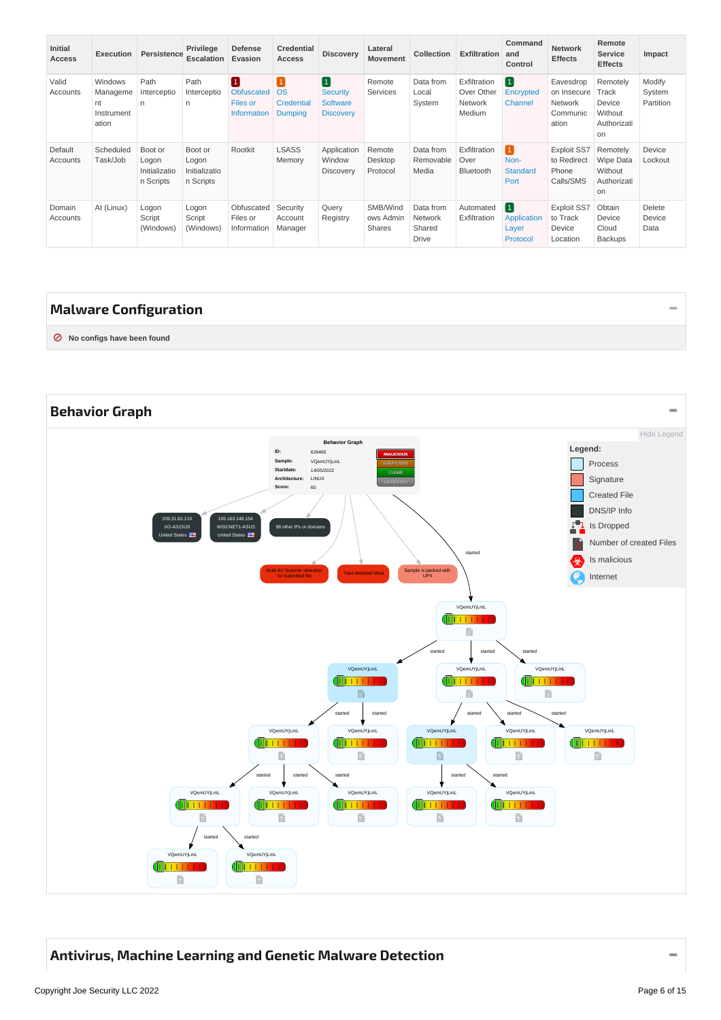<span id="page-5-3"></span>

| <b>Initial</b><br>Access | <b>Execution</b>                                 | Persistence                                    | <b>Privilege</b><br><b>Escalation</b>          | <b>Defense</b><br>Evasion                                | <b>Credential</b><br><b>Access</b>             | <b>Discovery</b>                                     | Lateral<br><b>Movement</b>      | Collection                                     | <b>Exfiltration</b>                             | Command<br>and<br>Control                                  | <b>Network</b><br><b>Effects</b>                         | Remote<br><b>Service</b><br><b>Effects</b>                   | Impact                        |
|--------------------------|--------------------------------------------------|------------------------------------------------|------------------------------------------------|----------------------------------------------------------|------------------------------------------------|------------------------------------------------------|---------------------------------|------------------------------------------------|-------------------------------------------------|------------------------------------------------------------|----------------------------------------------------------|--------------------------------------------------------------|-------------------------------|
| Valid<br>Accounts        | Windows<br>Manageme<br>nt<br>Instrument<br>ation | Path<br>Interceptio<br>n                       | Path<br>Interceptio<br>$\mathsf{n}$            | 0<br><b>Obfuscated</b><br>Files or<br><b>Information</b> | 1<br><b>OS</b><br>Credential<br><b>Dumping</b> | 0<br><b>Security</b><br>Software<br><b>Discovery</b> | Remote<br>Services              | Data from<br>Local<br>System                   | Exfiltration<br>Over Other<br>Network<br>Medium | $\vert 1 \vert$<br>Encrypted<br><b>Channel</b>             | Eavesdrop<br>on Insecure<br>Network<br>Communic<br>ation | Remotely<br>Track<br>Device<br>Without<br>Authorizati<br>on  | Modify<br>System<br>Partition |
| Default<br>Accounts      | Scheduled<br>Task/Job                            | Boot or<br>Logon<br>Initializatio<br>n Scripts | Boot or<br>Logon<br>Initializatio<br>n Scripts | Rootkit                                                  | <b>LSASS</b><br>Memory                         | Application<br>Window<br>Discovery                   | Remote<br>Desktop<br>Protocol   | Data from<br>Removable<br>Media                | Exfiltration<br>Over<br>Bluetooth               | $\boxed{1}$<br>Non-<br><b>Standard</b><br>Port             | <b>Exploit SS7</b><br>to Redirect<br>Phone<br>Calls/SMS  | Remotely<br><b>Wipe Data</b><br>Without<br>Authorizati<br>on | Device<br>Lockout             |
| Domain<br>Accounts       | At (Linux)                                       | Logon<br>Script<br>(Windows)                   | Logon<br>Script<br>(Windows)                   | Obfuscated<br>Files or<br>Information                    | Security<br>Account<br>Manager                 | Query<br>Registry                                    | SMB/Wind<br>ows Admin<br>Shares | Data from<br>Network<br>Shared<br><b>Drive</b> | Automated<br>Exfiltration                       | $\vert 1 \vert$<br><b>Application</b><br>Layer<br>Protocol | <b>Exploit SS7</b><br>to Track<br>Device<br>Location     | Obtain<br>Device<br>Cloud<br>Backups                         | Delete<br>Device<br>Data      |

# <span id="page-5-0"></span>**Malware [Configuration](#page-5-4)**

<span id="page-5-4"></span>**⊘ No configs have been found**

<span id="page-5-5"></span><span id="page-5-1"></span>

# <span id="page-5-2"></span>**Antivirus, Machine Learning and Genetic Malware [Detection](#page-6-9)**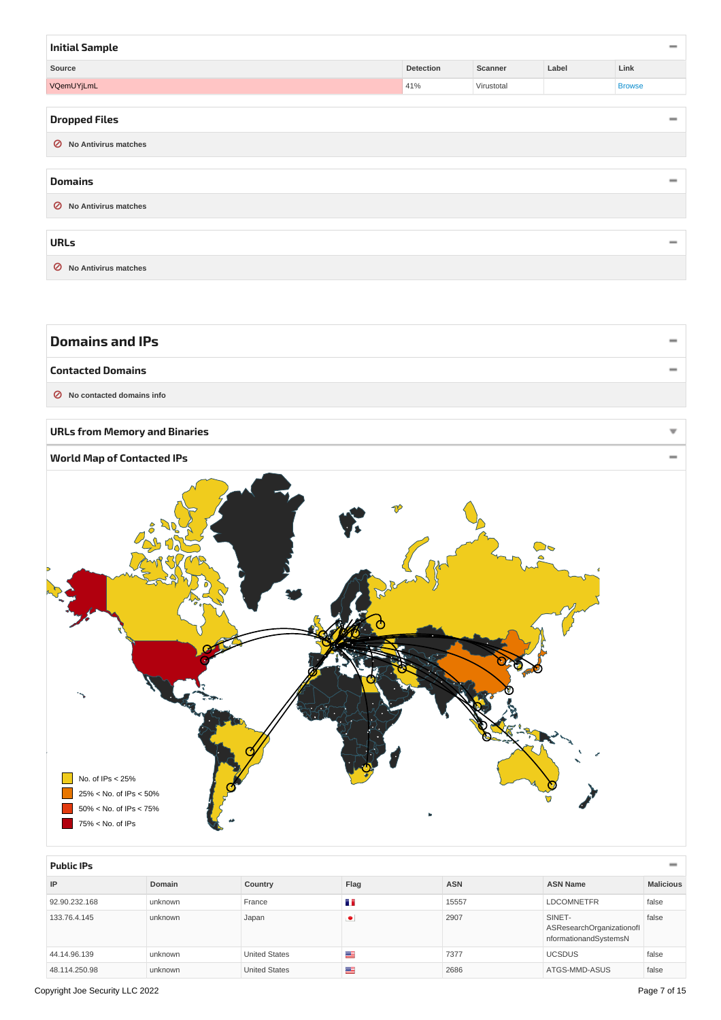<span id="page-6-11"></span><span id="page-6-10"></span><span id="page-6-9"></span><span id="page-6-2"></span><span id="page-6-1"></span><span id="page-6-0"></span>

| <b>Initial Sample</b>         |           |            |       | $\equiv$                 |
|-------------------------------|-----------|------------|-------|--------------------------|
| Source                        | Detection | Scanner    | Label | Link                     |
| VQemUYjLmL                    | 41%       | Virustotal |       | <b>Browse</b>            |
|                               |           |            |       |                          |
| <b>Dropped Files</b>          |           |            |       | -                        |
| <b>⊘</b> No Antivirus matches |           |            |       |                          |
| <b>Domains</b>                |           |            |       | $\equiv$                 |
| ◯ No Antivirus matches        |           |            |       |                          |
| <b>URLs</b>                   |           |            |       | $\overline{\phantom{a}}$ |
| ⊘<br>No Antivirus matches     |           |            |       |                          |

<span id="page-6-14"></span><span id="page-6-13"></span><span id="page-6-12"></span><span id="page-6-7"></span><span id="page-6-6"></span><span id="page-6-5"></span><span id="page-6-4"></span><span id="page-6-3"></span>

| <b>Domains and IPs</b>                                                                        |  |
|-----------------------------------------------------------------------------------------------|--|
| <b>Contacted Domains</b>                                                                      |  |
| <b>⊘</b> No contacted domains info                                                            |  |
| <b>URLs from Memory and Binaries</b>                                                          |  |
| <b>World Map of Contacted IPs</b>                                                             |  |
| J<br>No. of IPs < 25%<br>25% < No. of IPs < 50%<br>50% < No. of IPs < 75%<br>75% < No. of IPs |  |

<span id="page-6-8"></span>

| <b>Public IPs</b> | $\overline{\phantom{a}}$ |                      |      |            |                                                              |                  |  |  |  |
|-------------------|--------------------------|----------------------|------|------------|--------------------------------------------------------------|------------------|--|--|--|
| IP                | Domain                   | Country              | Flag | <b>ASN</b> | <b>ASN Name</b>                                              | <b>Malicious</b> |  |  |  |
| 92.90.232.168     | unknown                  | France               | n n  | 15557      | <b>LDCOMNETFR</b>                                            | false            |  |  |  |
| 133.76.4.145      | unknown                  | Japan                | ٠    | 2907       | SINET-<br>ASResearchOrganizationofl<br>nformationandSystemsN | false            |  |  |  |
| 44.14.96.139      | unknown                  | <b>United States</b> | ≝    | 7377       | <b>UCSDUS</b>                                                | false            |  |  |  |
| 48.114.250.98     | unknown                  | <b>United States</b> | ≝    | 2686       | ATGS-MMD-ASUS                                                | false            |  |  |  |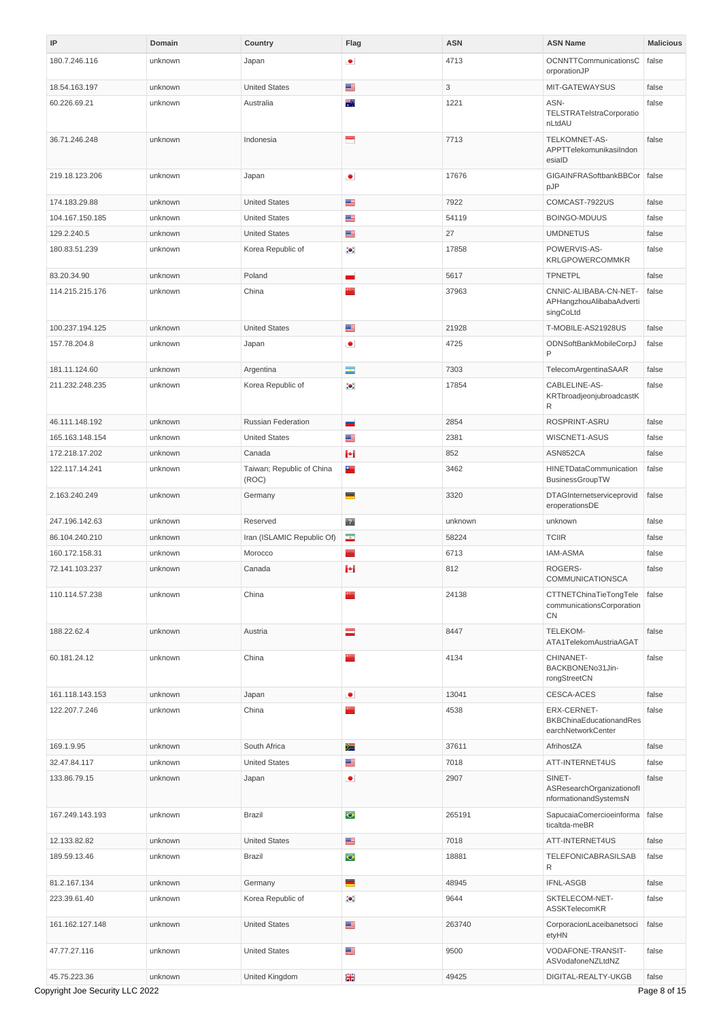<span id="page-7-1"></span><span id="page-7-0"></span>

| IP              | Domain  | Country                            | Flag                     | <b>ASN</b> | <b>ASN Name</b>                                                | <b>Malicious</b> |
|-----------------|---------|------------------------------------|--------------------------|------------|----------------------------------------------------------------|------------------|
| 180.7.246.116   | unknown | Japan                              | ٠                        | 4713       | OCNNTTCommunicationsC<br>orporationJP                          | false            |
| 18.54.163.197   | unknown | <b>United States</b>               | ≝                        | 3          | MIT-GATEWAYSUS                                                 | false            |
| 60.226.69.21    | unknown | Australia                          | 翆                        | 1221       | ASN-<br>TELSTRATelstraCorporatio<br>nLtdAU                     | false            |
| 36.71.246.248   | unknown | Indonesia                          | -                        | 7713       | TELKOMNET-AS-<br>APPTTelekomunikasiIndon<br>esiaID             | false            |
| 219.18.123.206  | unknown | Japan                              | $\bullet$                | 17676      | GIGAINFRASoftbankBBCor<br>pJP                                  | false            |
| 174.183.29.88   | unknown | <b>United States</b>               | ≝                        | 7922       | COMCAST-7922US                                                 | false            |
| 104.167.150.185 | unknown | <b>United States</b>               | ≝                        | 54119      | <b>BOINGO-MDUUS</b>                                            | false            |
| 129.2.240.5     | unknown | <b>United States</b>               | ≝                        | 27         | <b>UMDNETUS</b>                                                | false            |
| 180.83.51.239   | unknown | Korea Republic of                  | $\bullet$                | 17858      | POWERVIS-AS-<br>KRLGPOWERCOMMKR                                | false            |
| 83.20.34.90     | unknown | Poland                             | н                        | 5617       | <b>TPNETPL</b>                                                 | false            |
| 114.215.215.176 | unknown | China                              | mann.                    | 37963      | CNNIC-ALIBABA-CN-NET-<br>APHangzhouAlibabaAdverti<br>singCoLtd | false            |
| 100.237.194.125 | unknown | <b>United States</b>               | ≝                        | 21928      | T-MOBILE-AS21928US                                             | false            |
| 157.78.204.8    | unknown | Japan                              | $\bullet$                | 4725       | ODNSoftBankMobileCorpJ<br>P                                    | false            |
| 181.11.124.60   | unknown | Argentina                          | $\overline{\phantom{a}}$ | 7303       | TelecomArgentinaSAAR                                           | false            |
| 211.232.248.235 | unknown | Korea Republic of                  | $\bullet.$               | 17854      | CABLELINE-AS-<br>KRTbroadjeonjubroadcastK<br>R                 | false            |
| 46.111.148.192  | unknown | Russian Federation                 | ÷                        | 2854       | ROSPRINT-ASRU                                                  | false            |
| 165.163.148.154 | unknown | <b>United States</b>               | ≝                        | 2381       | WISCNET1-ASUS                                                  | false            |
| 172.218.17.202  | unknown | Canada                             | $\left  \bullet \right $ | 852        | ASN852CA                                                       | false            |
| 122.117.14.241  | unknown | Taiwan; Republic of China<br>(ROC) | ÷                        | 3462       | HINETDataCommunication<br>BusinessGroupTW                      | false            |
| 2.163.240.249   | unknown | Germany                            | ▀                        | 3320       | DTAGInternetserviceprovid<br>eroperationsDE                    | false            |
| 247.196.142.63  | unknown | Reserved                           | $\mathbb{R}^n$           | unknown    | unknown                                                        | false            |
| 86.104.240.210  | unknown | Iran (ISLAMIC Republic Of)         | $\mathcal{A}$            | 58224      | <b>TCIIR</b>                                                   | false            |
| 160.172.158.31  | unknown | Morocco                            | ×.                       | 6713       | <b>IAM-ASMA</b>                                                | false            |
| 72.141.103.237  | unknown | Canada                             | н                        | 812        | ROGERS-<br>COMMUNICATIONSCA                                    | false            |
| 110.114.57.238  | unknown | China                              | <b>Parties</b>           | 24138      | CTTNETChinaTieTongTele<br>communicationsCorporation<br>CN      | false            |
| 188.22.62.4     | unknown | Austria                            | $\equiv$                 | 8447       | <b>TELEKOM-</b><br>ATA1TelekomAustriaAGAT                      | false            |
| 60.181.24.12    | unknown | China                              | e por                    | 4134       | CHINANET-<br>BACKBONENo31Jin-<br>rongStreetCN                  | false            |
| 161.118.143.153 | unknown | Japan                              | $\bullet$                | 13041      | CESCA-ACES                                                     | false            |
| 122.207.7.246   | unknown | China                              | e e                      | 4538       | ERX-CERNET-<br>BKBChinaEducationandRes<br>earchNetworkCenter   | false            |
| 169.1.9.95      | unknown | South Africa                       | ≋                        | 37611      | AfrihostZA                                                     | false            |
| 32.47.84.117    | unknown | <b>United States</b>               | ≝                        | 7018       | ATT-INTERNET4US                                                | false            |
| 133.86.79.15    | unknown | Japan                              | $\bullet$                | 2907       | SINET-<br>ASResearchOrganizationofl<br>nformationandSystemsN   | false            |
| 167.249.143.193 | unknown | Brazil                             | $\bullet$                | 265191     | SapucaiaComercioeinforma<br>ticaltda-meBR                      | false            |
| 12.133.82.82    | unknown | <b>United States</b>               | ≝                        | 7018       | ATT-INTERNET4US                                                | false            |
| 189.59.13.46    | unknown | Brazil                             | $\bullet$                | 18881      | <b>TELEFONICABRASILSAB</b><br>R                                | false            |
| 81.2.167.134    | unknown | Germany                            | ▀                        | 48945      | <b>IFNL-ASGB</b>                                               | false            |
| 223.39.61.40    | unknown | Korea Republic of                  | $\bullet.$               | 9644       | SKTELECOM-NET-<br>ASSKTelecomKR                                | false            |
| 161.162.127.148 | unknown | <b>United States</b>               | ≝                        | 263740     | CorporacionLaceibanetsoci<br>etyHN                             | false            |
| 47.77.27.116    | unknown | <b>United States</b>               | ≝                        | 9500       | VODAFONE-TRANSIT-<br>ASVodafoneNZLtdNZ                         | false            |
| 45.75.223.36    | unknown | United Kingdom                     | ※                        | 49425      | DIGITAL-REALTY-UKGB                                            | false            |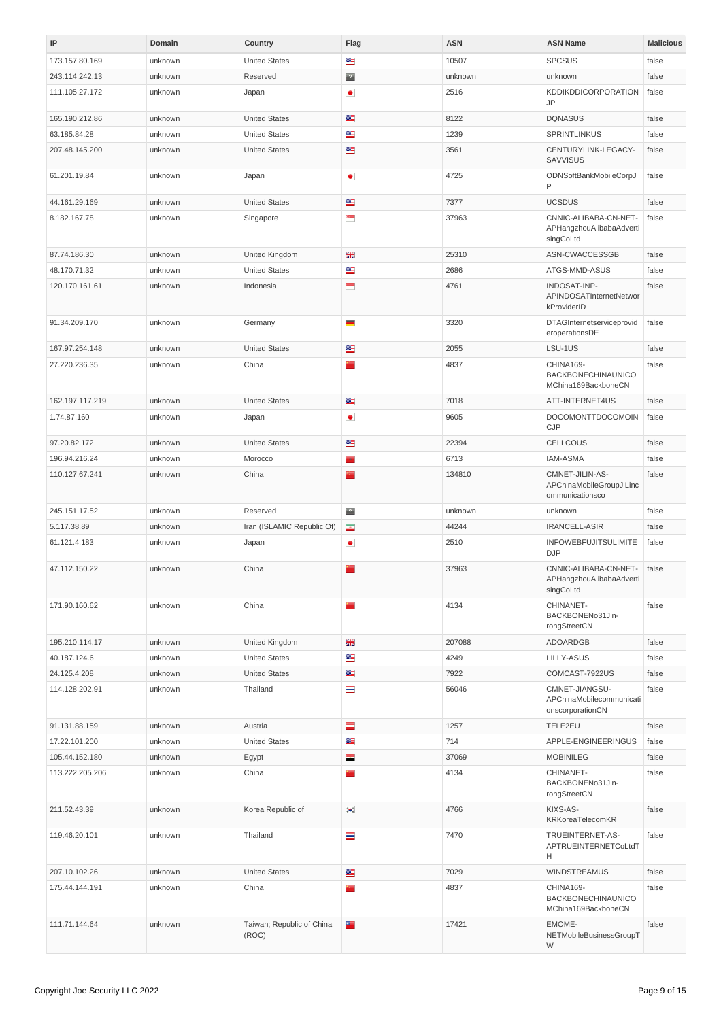<span id="page-8-0"></span>

| IP              | Domain  | Country                            | Flag           | <b>ASN</b> | <b>ASN Name</b>                                                | <b>Malicious</b> |
|-----------------|---------|------------------------------------|----------------|------------|----------------------------------------------------------------|------------------|
| 173.157.80.169  | unknown | <b>United States</b>               | ≝              | 10507      | <b>SPCSUS</b>                                                  | false            |
| 243.114.242.13  | unknown | Reserved                           | $\overline{P}$ | unknown    | unknown                                                        | false            |
| 111.105.27.172  | unknown | Japan                              | $\bullet$      | 2516       | KDDIKDDICORPORATION<br><b>JP</b>                               | false            |
| 165.190.212.86  | unknown | <b>United States</b>               | ≝              | 8122       | <b>DQNASUS</b>                                                 | false            |
| 63.185.84.28    | unknown | <b>United States</b>               | ≝              | 1239       | SPRINTLINKUS                                                   | false            |
| 207.48.145.200  | unknown | <b>United States</b>               | ≝              | 3561       | CENTURYLINK-LEGACY-<br>SAVVISUS                                | false            |
| 61.201.19.84    | unknown | Japan                              | $\bullet$      | 4725       | ODNSoftBankMobileCorpJ<br>P                                    | false            |
| 44.161.29.169   | unknown | <b>United States</b>               | ≝              | 7377       | <b>UCSDUS</b>                                                  | false            |
| 8.182.167.78    | unknown | Singapore                          | ۳              | 37963      | CNNIC-ALIBABA-CN-NET-<br>APHangzhouAlibabaAdverti<br>singCoLtd | false            |
| 87.74.186.30    | unknown | United Kingdom                     | ※              | 25310      | ASN-CWACCESSGB                                                 | false            |
| 48.170.71.32    | unknown | <b>United States</b>               | ≝              | 2686       | ATGS-MMD-ASUS                                                  | false            |
| 120.170.161.61  | unknown | Indonesia                          | Ξ              | 4761       | INDOSAT-INP-<br>APINDOSATInternetNetwor<br>kProviderID         | false            |
| 91.34.209.170   | unknown | Germany                            | ▀              | 3320       | DTAGInternetserviceprovid<br>eroperationsDE                    | false            |
| 167.97.254.148  | unknown | <b>United States</b>               | ≝              | 2055       | LSU-1US                                                        | false            |
| 27.220.236.35   | unknown | China                              | m.             | 4837       | CHINA169-<br>BACKBONECHINAUNICO<br>MChina169BackboneCN         | false            |
| 162.197.117.219 | unknown | <b>United States</b>               | ≝              | 7018       | ATT-INTERNET4US                                                | false            |
| 1.74.87.160     | unknown | Japan                              | $\bullet$      | 9605       | DOCOMONTTDOCOMOIN<br>CJP                                       | false            |
| 97.20.82.172    | unknown | <b>United States</b>               | ≊              | 22394      | <b>CELLCOUS</b>                                                | false            |
| 196.94.216.24   | unknown | Morocco                            | <b>State</b>   | 6713       | <b>IAM-ASMA</b>                                                | false            |
| 110.127.67.241  | unknown | China                              |                | 134810     | CMNET-JILIN-AS-<br>APChinaMobileGroupJiLinc<br>ommunicationsco | false            |
| 245.151.17.52   | unknown | Reserved                           | $\overline{2}$ | unknown    | unknown                                                        | false            |
| 5.117.38.89     | unknown | Iran (ISLAMIC Republic Of)         | $\bullet$      | 44244      | IRANCELL-ASIR                                                  | false            |
| 61.121.4.183    | unknown | Japan                              | $\bullet$      | 2510       | <b>INFOWEBFUJITSULIMITE</b><br><b>DJP</b>                      | false            |
| 47.112.150.22   | unknown | China                              |                | 37963      | CNNIC-ALIBABA-CN-NET-<br>APHangzhouAlibabaAdverti<br>singCoLtd | false            |
| 171.90.160.62   | unknown | China                              | <b>Marin</b>   | 4134       | CHINANET-<br>BACKBONENo31Jin-<br>rongStreetCN                  | false            |
| 195.210.114.17  | unknown | United Kingdom                     | ※              | 207088     | ADOARDGB                                                       | false            |
| 40.187.124.6    | unknown | <b>United States</b>               | ≝              | 4249       | LILLY-ASUS                                                     | false            |
| 24.125.4.208    | unknown | <b>United States</b>               | ≝              | 7922       | COMCAST-7922US                                                 | false            |
| 114.128.202.91  | unknown | Thailand                           | ≡              | 56046      | CMNET-JIANGSU-<br>APChinaMobilecommunicati<br>onscorporationCN | false            |
| 91.131.88.159   | unknown | Austria                            | $=$            | 1257       | TELE2EU                                                        | false            |
| 17.22.101.200   | unknown | <b>United States</b>               | ≝              | 714        | APPLE-ENGINEERINGUS                                            | false            |
| 105.44.152.180  | unknown | Egypt                              | ÷.             | 37069      | <b>MOBINILEG</b>                                               | false            |
| 113.222.205.206 | unknown | China                              | <b>Parties</b> | 4134       | CHINANET-<br>BACKBONENo31Jin-<br>rongStreetCN                  | false            |
| 211.52.43.39    | unknown | Korea Republic of                  | $\bullet.$     | 4766       | KIXS-AS-<br>KRKoreaTelecomKR                                   | false            |
| 119.46.20.101   | unknown | Thailand                           | ≡              | 7470       | TRUEINTERNET-AS-<br>APTRUEINTERNETCoLtdT<br>н                  | false            |
| 207.10.102.26   | unknown | <b>United States</b>               | ≝              | 7029       | <b>WINDSTREAMUS</b>                                            | false            |
| 175.44.144.191  | unknown | China                              |                | 4837       | CHINA169-<br>BACKBONECHINAUNICO<br>MChina169BackboneCN         | false            |
| 111.71.144.64   | unknown | Taiwan; Republic of China<br>(ROC) | 93             | 17421      | EMOME-<br>NETMobileBusinessGroupT<br>W                         | false            |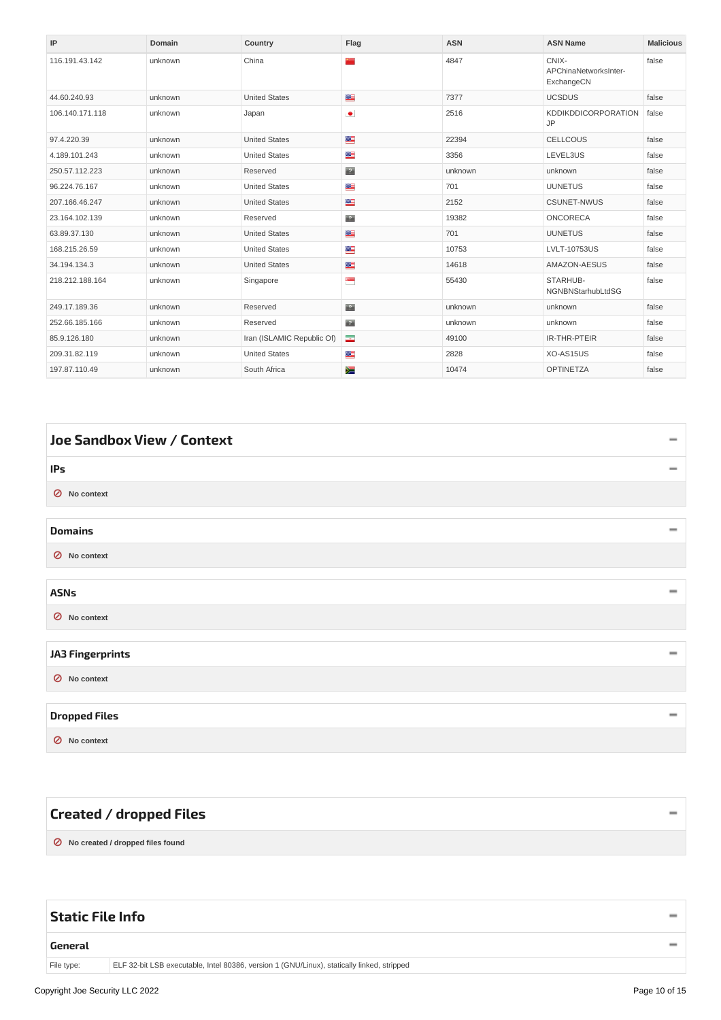| IP              | Domain  | Country                    | Flag                     | <b>ASN</b> | <b>ASN Name</b>                              | <b>Malicious</b> |
|-----------------|---------|----------------------------|--------------------------|------------|----------------------------------------------|------------------|
| 116.191.43.142  | unknown | China                      | ××                       | 4847       | CNIX-<br>APChinaNetworksInter-<br>ExchangeCN | false            |
| 44.60.240.93    | unknown | <b>United States</b>       | ≝                        | 7377       | <b>UCSDUS</b>                                | false            |
| 106.140.171.118 | unknown | Japan                      | $\bullet$                | 2516       | <b>KDDIKDDICORPORATION</b><br><b>JP</b>      | false            |
| 97.4.220.39     | unknown | <b>United States</b>       | ≝                        | 22394      | <b>CELLCOUS</b>                              | false            |
| 4.189.101.243   | unknown | <b>United States</b>       | ≝                        | 3356       | LEVEL3US                                     | false            |
| 250.57.112.223  | unknown | Reserved                   | $\overline{2}$           | unknown    | unknown                                      | false            |
| 96.224.76.167   | unknown | <b>United States</b>       | ≝                        | 701        | <b>UUNETUS</b>                               | false            |
| 207.166.46.247  | unknown | <b>United States</b>       | ≝                        | 2152       | <b>CSUNET-NWUS</b>                           | false            |
| 23.164.102.139  | unknown | Reserved                   | $\mathbb{R}^n$           | 19382      | <b>ONCORECA</b>                              | false            |
| 63.89.37.130    | unknown | <b>United States</b>       | ≊                        | 701        | <b>UUNETUS</b>                               | false            |
| 168.215.26.59   | unknown | <b>United States</b>       | ≝                        | 10753      | <b>LVLT-10753US</b>                          | false            |
| 34.194.134.3    | unknown | <b>United States</b>       | ≝                        | 14618      | AMAZON-AESUS                                 | false            |
| 218.212.188.164 | unknown | Singapore                  | e.                       | 55430      | STARHUB-<br>NGNBNStarhubLtdSG                | false            |
| 249.17.189.36   | unknown | Reserved                   | $\mathbb{R}^n$           | unknown    | unknown                                      | false            |
| 252.66.185.166  | unknown | Reserved                   | $\mathbb{R}^n$           | unknown    | unknown                                      | false            |
| 85.9.126.180    | unknown | Iran (ISLAMIC Republic Of) | $\overline{\phantom{a}}$ | 49100      | IR-THR-PTEIR                                 | false            |
| 209.31.82.119   | unknown | <b>United States</b>       | ≝                        | 2828       | XO-AS15US                                    | false            |
| 197.87.110.49   | unknown | South Africa               | 涅                        | 10474      | <b>OPTINETZA</b>                             | false            |

<span id="page-9-12"></span><span id="page-9-11"></span><span id="page-9-10"></span><span id="page-9-9"></span><span id="page-9-3"></span><span id="page-9-2"></span><span id="page-9-1"></span><span id="page-9-0"></span>

| Joe Sandbox View / Context | $\equiv$                 |
|----------------------------|--------------------------|
| IPs                        | $\overline{\phantom{a}}$ |
| O No context               |                          |
| <b>Domains</b>             |                          |
| O No context               |                          |
| <b>ASNs</b>                |                          |
| ◎ No context               |                          |
| <b>JA3 Fingerprints</b>    | -                        |
| ◎ No context               |                          |
| <b>Dropped Files</b>       | $\equiv$                 |
| ◎ No context               |                          |

<span id="page-9-15"></span><span id="page-9-14"></span><span id="page-9-13"></span><span id="page-9-6"></span><span id="page-9-5"></span><span id="page-9-4"></span>

| Created / dropped Files            |  |
|------------------------------------|--|
| ◯ No created / dropped files found |  |

<span id="page-9-8"></span><span id="page-9-7"></span>

| Static File Info |                                                                                            |  |
|------------------|--------------------------------------------------------------------------------------------|--|
| General          |                                                                                            |  |
| File type:       | ELF 32-bit LSB executable, Intel 80386, version 1 (GNU/Linux), statically linked, stripped |  |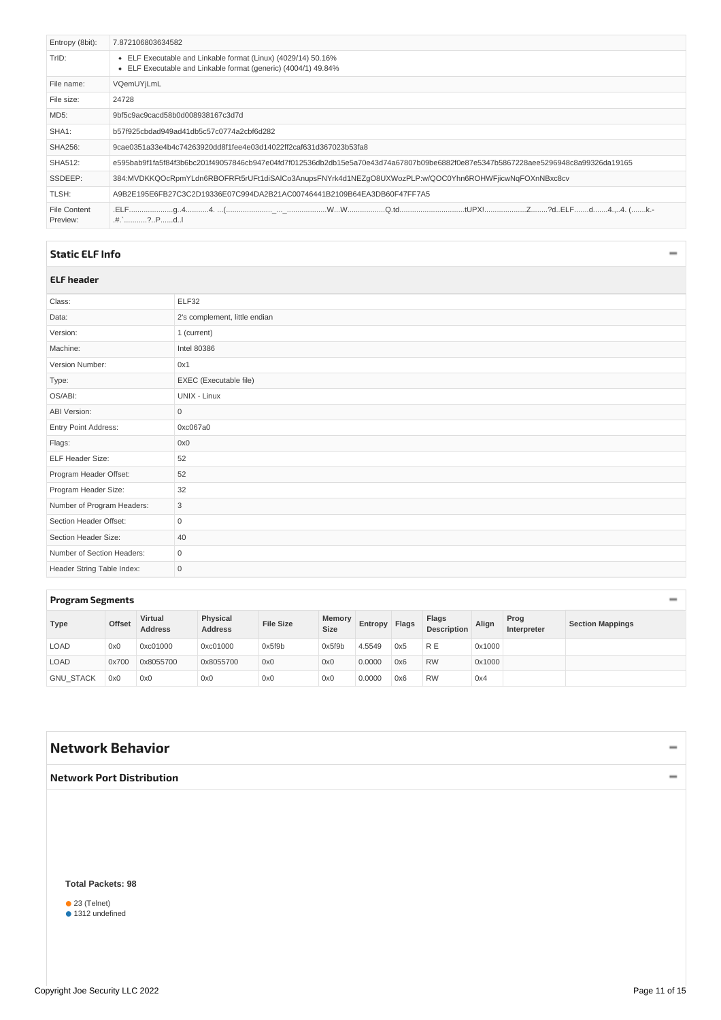<span id="page-10-6"></span><span id="page-10-5"></span>

| Entropy (8bit):          | 7.872106803634582                                                                                                                |
|--------------------------|----------------------------------------------------------------------------------------------------------------------------------|
| TrID:                    | • ELF Executable and Linkable format (Linux) (4029/14) 50.16%<br>ELF Executable and Linkable format (generic) (4004/1) 49.84%    |
| File name:               | VQemUYjLmL                                                                                                                       |
| File size:               | 24728                                                                                                                            |
| MD5:                     | 9bf5c9ac9cacd58b0d008938167c3d7d                                                                                                 |
| SHA1:                    | b57f925cbdad949ad41db5c57c0774a2cbf6d282                                                                                         |
| <b>SHA256:</b>           | 9cae0351a33e4b4c74263920dd8f1fee4e03d14022ff2caf631d367023b53fa8                                                                 |
| <b>SHA512:</b>           | e595bab9f1fa5f84f3b6bc201f49057846cb947e04fd7f012536db2db15e5a70e43d74a67807b09be6882f0e87e5347b5867228aee5296948c8a99326da19165 |
| SSDEEP:                  | 384:MVDKKQOcRpmYLdn6RBOFRFt5rUFt1diSAlCo3AnupsFNYrk4d1NEZqO8UXWozPLP:w/QOC0Yhn6ROHWFjicwNqFOXnNBxc8cv                            |
| TLSH:                    | A9B2E195E6FB27C3C2D19336E07C994DA2B21AC00746441B2109B64EA3DB60F47FF7A5                                                           |
| File Content<br>Preview: | .#.`?PdI                                                                                                                         |

### <span id="page-10-0"></span>**[Static](#page-10-7) ELF Info**

### <span id="page-10-7"></span><span id="page-10-1"></span>**ELF header**

| Class:                     | ELF32                         |
|----------------------------|-------------------------------|
| Data:                      | 2's complement, little endian |
| Version:                   | 1 (current)                   |
| Machine:                   | Intel 80386                   |
| Version Number:            | 0x1                           |
| Type:                      | EXEC (Executable file)        |
| OS/ABI:                    | UNIX - Linux                  |
| <b>ABI Version:</b>        | $\mathsf{O}\xspace$           |
| Entry Point Address:       | 0xc067a0                      |
| Flags:                     | 0x0                           |
| ELF Header Size:           | 52                            |
| Program Header Offset:     | 52                            |
| Program Header Size:       | 32                            |
| Number of Program Headers: | 3                             |
| Section Header Offset:     | $\mathbf 0$                   |
| Section Header Size:       | 40                            |
| Number of Section Headers: | $\mathbf 0$                   |
| Header String Table Index: | $\mathsf{O}\xspace$           |

### <span id="page-10-2"></span>**Program [Segments](#page-10-8)**

<span id="page-10-8"></span>

| -<br>-           |        |                                  |                            |                  |                       |         |       |                             |        |                     |                         |
|------------------|--------|----------------------------------|----------------------------|------------------|-----------------------|---------|-------|-----------------------------|--------|---------------------|-------------------------|
| <b>Type</b>      | Offset | <b>Virtual</b><br><b>Address</b> | Physical<br><b>Address</b> | <b>File Size</b> | Memory<br><b>Size</b> | Entropy | Flags | Flags<br><b>Description</b> | Align  | Prog<br>Interpreter | <b>Section Mappings</b> |
| <b>LOAD</b>      | 0x0    | 0xc01000                         | 0xc01000                   | 0x5f9b           | 0x5f9b                | 4.5549  | 0x5   | <b>RE</b>                   | 0x1000 |                     |                         |
| <b>LOAD</b>      | 0x700  | 0x8055700                        | 0x8055700                  | 0x0              | 0x0                   | 0.0000  | 0x6   | <b>RW</b>                   | 0x1000 |                     |                         |
| <b>GNU STACK</b> | 0x0    | 0x0                              | 0x0                        | 0x0              | 0x0                   | 0.0000  | 0x6   | <b>RW</b>                   | 0x4    |                     |                         |

# <span id="page-10-3"></span>**Network [Behavior](#page-11-17)**

## <span id="page-10-4"></span>**Network Port [Distribution](#page-11-18)**

#### **Total Packets: 98**

● 23 (Telnet)<br>● 1312 undefined

 $\overline{\phantom{0}}$ 

 $\overline{\phantom{0}}$ 

 $\qquad \qquad -$ 

 $\bar{}$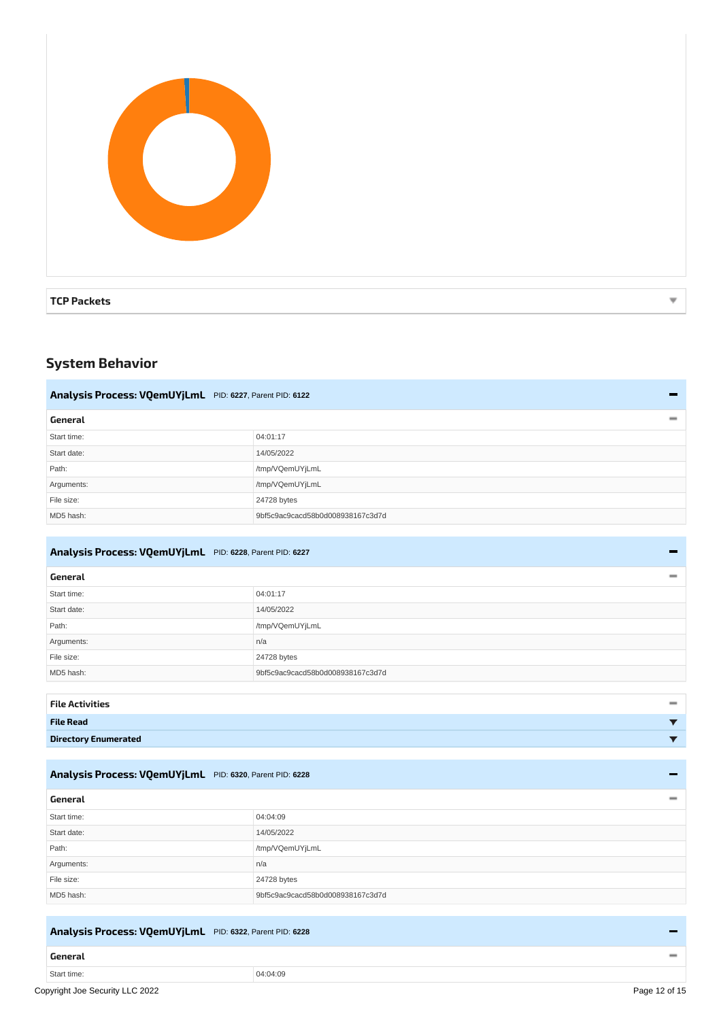<span id="page-11-18"></span><span id="page-11-17"></span>

| <b>TCP Packets</b> | ₩ |
|--------------------|---|

# <span id="page-11-1"></span><span id="page-11-0"></span>**System Behavior**

<span id="page-11-20"></span><span id="page-11-19"></span><span id="page-11-13"></span><span id="page-11-3"></span><span id="page-11-2"></span>

| Analysis Process: VQemUYjLmL PID: 6227, Parent PID: 6122 |                                  |  |  |  |  |  |
|----------------------------------------------------------|----------------------------------|--|--|--|--|--|
| General                                                  | $\equiv$                         |  |  |  |  |  |
| Start time:                                              | 04:01:17                         |  |  |  |  |  |
| Start date:                                              | 14/05/2022                       |  |  |  |  |  |
| Path:                                                    | /tmp/VQemUYjLmL                  |  |  |  |  |  |
| Arguments:                                               | /tmp/VQemUYjLmL                  |  |  |  |  |  |
| File size:                                               | 24728 bytes                      |  |  |  |  |  |
| MD5 hash:                                                | 9bf5c9ac9cacd58b0d008938167c3d7d |  |  |  |  |  |

### <span id="page-11-14"></span><span id="page-11-4"></span>**Analysis Process: [VQemUYjLmL](#page-11-21)** PID: **6228**, Parent PID: **6227**

<span id="page-11-22"></span><span id="page-11-21"></span><span id="page-11-5"></span>

| General     | $\equiv$                         |
|-------------|----------------------------------|
| Start time: | 04:01:17                         |
| Start date: | 14/05/2022                       |
| Path:       | /tmp/VQemUYjLmL                  |
| Arguments:  | n/a                              |
| File size:  | 24728 bytes                      |
| MD5 hash:   | 9bf5c9ac9cacd58b0d008938167c3d7d |
|             |                                  |

<span id="page-11-23"></span><span id="page-11-8"></span><span id="page-11-7"></span><span id="page-11-6"></span>

| <b>File Activities</b>      |  |
|-----------------------------|--|
| <b>File Read</b>            |  |
| <b>Directory Enumerated</b> |  |

### <span id="page-11-15"></span><span id="page-11-9"></span>**Analysis Process: [VQemUYjLmL](#page-11-24)** PID: **6320**, Parent PID: **6228**

<span id="page-11-25"></span><span id="page-11-24"></span><span id="page-11-10"></span>

| General     |                                  |
|-------------|----------------------------------|
| Start time: | 04:04:09                         |
| Start date: | 14/05/2022                       |
| Path:       | /tmp/VQemUYjLmL                  |
| Arguments:  | n/a                              |
| File size:  | 24728 bytes                      |
| MD5 hash:   | 9bf5c9ac9cacd58b0d008938167c3d7d |

### <span id="page-11-16"></span><span id="page-11-11"></span>**Analysis Process: [VQemUYjLmL](#page-12-18)** PID: **6322**, Parent PID: **6228**

### <span id="page-11-12"></span>**[General](#page-12-19)**  $\qquad \qquad -$ Start time: 04:04:09 Copyright Joe Security LLC 2022 Page 12 of 15

-

 $\overline{\phantom{0}}$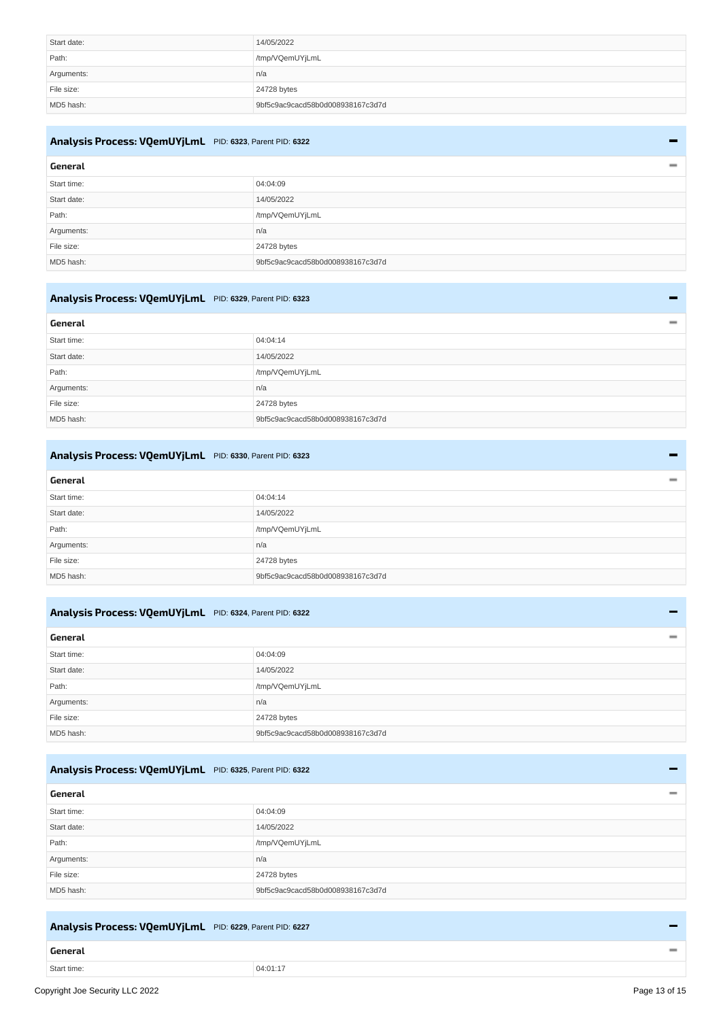<span id="page-12-19"></span><span id="page-12-18"></span>

| Start date: | 14/05/2022                       |
|-------------|----------------------------------|
| Path:       | /tmp/VQemUYjLmL                  |
| Arguments:  | n/a                              |
| File size:  | 24728 bytes                      |
| MD5 hash:   | 9bf5c9ac9cacd58b0d008938167c3d7d |

### <span id="page-12-12"></span><span id="page-12-0"></span>**Analysis Process: [VQemUYjLmL](#page-12-20)** PID: **6323**, Parent PID: **6322**

<span id="page-12-21"></span><span id="page-12-20"></span><span id="page-12-1"></span>

| General     | $\overline{\phantom{a}}$         |
|-------------|----------------------------------|
| Start time: | 04:04:09                         |
| Start date: | 14/05/2022                       |
| Path:       | /tmp/VQemUYjLmL                  |
| Arguments:  | n/a                              |
| File size:  | 24728 bytes                      |
| MD5 hash:   | 9bf5c9ac9cacd58b0d008938167c3d7d |

### <span id="page-12-13"></span><span id="page-12-2"></span>**Analysis Process: [VQemUYjLmL](#page-12-22)** PID: **6329**, Parent PID: **6323**

<span id="page-12-23"></span><span id="page-12-22"></span><span id="page-12-3"></span>

| General     |                                  | $\qquad \qquad \blacksquare$ |
|-------------|----------------------------------|------------------------------|
| Start time: | 04:04:14                         |                              |
| Start date: | 14/05/2022                       |                              |
| Path:       | /tmp/VQemUYjLmL                  |                              |
| Arguments:  | n/a                              |                              |
| File size:  | 24728 bytes                      |                              |
| MD5 hash:   | 9bf5c9ac9cacd58b0d008938167c3d7d |                              |

### <span id="page-12-14"></span><span id="page-12-4"></span>**Analysis Process: [VQemUYjLmL](#page-12-24)** PID: **6330**, Parent PID: **6323**

<span id="page-12-25"></span><span id="page-12-24"></span><span id="page-12-5"></span>

| General<br>$\overline{\phantom{a}}$ |                                  |
|-------------------------------------|----------------------------------|
| Start time:                         | 04:04:14                         |
| Start date:                         | 14/05/2022                       |
| Path:                               | /tmp/VQemUYjLmL                  |
| Arguments:                          | n/a                              |
| File size:                          | 24728 bytes                      |
| MD5 hash:                           | 9bf5c9ac9cacd58b0d008938167c3d7d |

### <span id="page-12-15"></span><span id="page-12-6"></span>**Analysis Process: [VQemUYjLmL](#page-12-26)** PID: **6324**, Parent PID: **6322**

<span id="page-12-27"></span><span id="page-12-26"></span><span id="page-12-7"></span>

| General     | $\overline{\phantom{a}}$         |
|-------------|----------------------------------|
| Start time: | 04:04:09                         |
| Start date: | 14/05/2022                       |
| Path:       | /tmp/VQemUYjLmL                  |
| Arguments:  | n/a                              |
| File size:  | 24728 bytes                      |
| MD5 hash:   | 9bf5c9ac9cacd58b0d008938167c3d7d |

### <span id="page-12-16"></span><span id="page-12-8"></span>**Analysis Process: [VQemUYjLmL](#page-12-28)** PID: **6325**, Parent PID: **6322**

<span id="page-12-29"></span><span id="page-12-28"></span><span id="page-12-9"></span>

| General                          |  |
|----------------------------------|--|
| 04:04:09                         |  |
| 14/05/2022                       |  |
| /tmp/VQemUYjLmL                  |  |
| n/a                              |  |
| 24728 bytes                      |  |
| 9bf5c9ac9cacd58b0d008938167c3d7d |  |
|                                  |  |

## <span id="page-12-17"></span><span id="page-12-10"></span>**Analysis Process: [VQemUYjLmL](#page-13-18)** PID: **6229**, Parent PID: **6227**

# <span id="page-12-11"></span>**[General](#page-13-19)**

Start time: 04:01:17

 $\overline{\phantom{0}}$ 

÷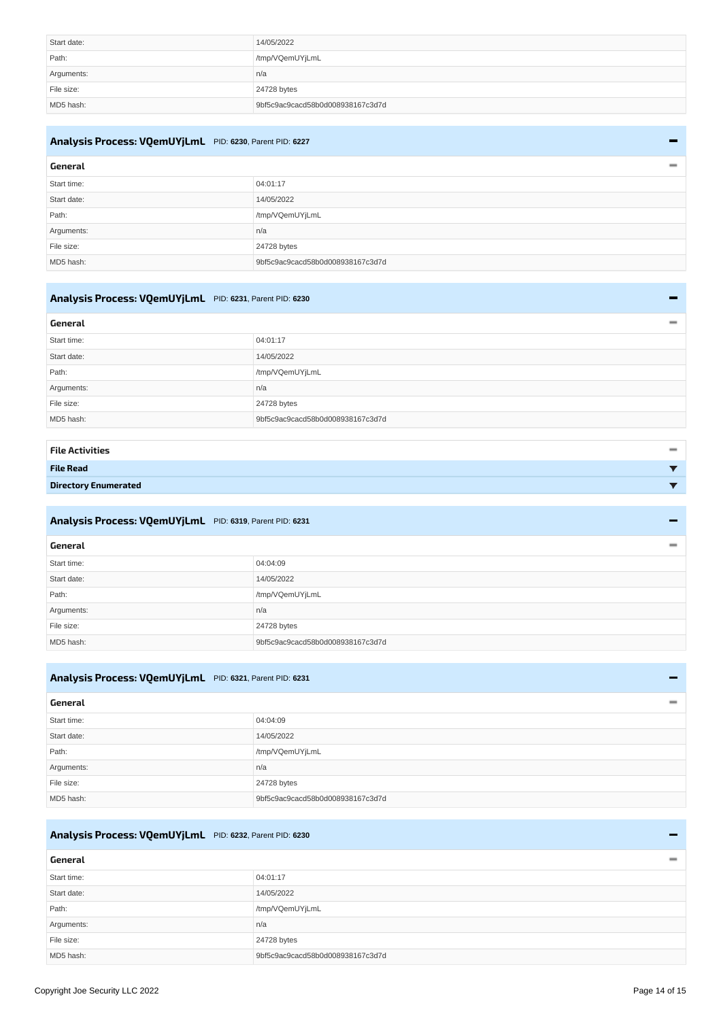<span id="page-13-19"></span><span id="page-13-18"></span>

| Start date: | 14/05/2022                       |
|-------------|----------------------------------|
| Path:       | /tmp/VQemUYjLmL                  |
| Arguments:  | n/a                              |
| File size:  | 24728 bytes                      |
| MD5 hash:   | 9bf5c9ac9cacd58b0d008938167c3d7d |

# <span id="page-13-13"></span><span id="page-13-0"></span>**Analysis Process: [VQemUYjLmL](#page-13-20)** PID: **6230**, Parent PID: **6227**

<span id="page-13-21"></span><span id="page-13-20"></span><span id="page-13-1"></span>

| General     | $\overline{\phantom{a}}$         |
|-------------|----------------------------------|
| Start time: | 04:01:17                         |
| Start date: | 14/05/2022                       |
| Path:       | /tmp/VQemUYjLmL                  |
| Arguments:  | n/a                              |
| File size:  | 24728 bytes                      |
| MD5 hash:   | 9bf5c9ac9cacd58b0d008938167c3d7d |

# <span id="page-13-14"></span><span id="page-13-2"></span>**Analysis Process: [VQemUYjLmL](#page-13-22)** PID: **6231**, Parent PID: **6230**

<span id="page-13-23"></span><span id="page-13-22"></span><span id="page-13-3"></span>

| General     | $\qquad \qquad \blacksquare$     |
|-------------|----------------------------------|
| Start time: | 04:01:17                         |
| Start date: | 14/05/2022                       |
| Path:       | /tmp/VQemUYjLmL                  |
| Arguments:  | n/a                              |
| File size:  | 24728 bytes                      |
| MD5 hash:   | 9bf5c9ac9cacd58b0d008938167c3d7d |

<span id="page-13-5"></span><span id="page-13-4"></span>

| <b>File Activities</b>      | $\qquad \qquad \blacksquare$ |
|-----------------------------|------------------------------|
| <b>File Read</b>            |                              |
| <b>Directory Enumerated</b> |                              |

<span id="page-13-25"></span><span id="page-13-24"></span><span id="page-13-15"></span><span id="page-13-8"></span><span id="page-13-7"></span><span id="page-13-6"></span>

| Analysis Process: VQemUYjLmL PID: 6319, Parent PID: 6231<br>- |                                  |
|---------------------------------------------------------------|----------------------------------|
| General                                                       |                                  |
| Start time:                                                   | 04:04:09                         |
| Start date:                                                   | 14/05/2022                       |
| Path:                                                         | /tmp/VQemUYjLmL                  |
| Arguments:                                                    | n/a                              |
| File size:                                                    | 24728 bytes                      |
| MD5 hash:                                                     | 9bf5c9ac9cacd58b0d008938167c3d7d |

<span id="page-13-27"></span><span id="page-13-26"></span><span id="page-13-16"></span><span id="page-13-10"></span><span id="page-13-9"></span>

| Analysis Process: VQemUYjLmL PID: 6321, Parent PID: 6231 |                                  |  |
|----------------------------------------------------------|----------------------------------|--|
| General                                                  |                                  |  |
| Start time:                                              | 04:04:09                         |  |
| Start date:                                              | 14/05/2022                       |  |
| Path:                                                    | /tmp/VQemUYjLmL                  |  |
| Arguments:                                               | n/a                              |  |
| File size:                                               | 24728 bytes                      |  |
| MD5 hash:                                                | 9bf5c9ac9cacd58b0d008938167c3d7d |  |

### <span id="page-13-17"></span><span id="page-13-11"></span>**Analysis Process: [VQemUYjLmL](#page-13-28)** PID: **6232**, Parent PID: **6230**

<span id="page-13-29"></span><span id="page-13-28"></span><span id="page-13-12"></span>

| General     |                                  |
|-------------|----------------------------------|
| Start time: | 04:01:17                         |
| Start date: | 14/05/2022                       |
| Path:       | /tmp/VQemUYjLmL                  |
| Arguments:  | n/a                              |
| File size:  | 24728 bytes                      |
| MD5 hash:   | 9bf5c9ac9cacd58b0d008938167c3d7d |

L,